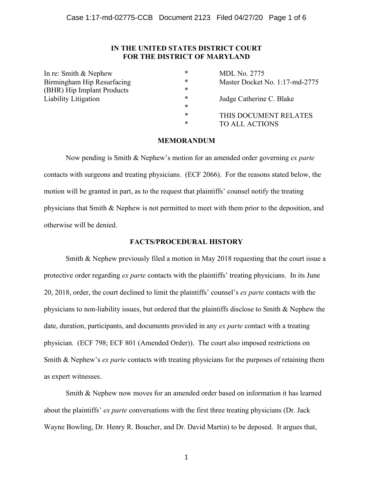## **IN THE UNITED STATES DISTRICT COURT FOR THE DISTRICT OF MARYLAND**

| In re: Smith $&$ Nephew    | * | <b>MDL No. 2775</b>            |
|----------------------------|---|--------------------------------|
| Birmingham Hip Resurfacing | * | Master Docket No. 1:17-md-2775 |
| (BHR) Hip Implant Products | * |                                |
| Liability Litigation       | * | Judge Catherine C. Blake       |
|                            | * |                                |
|                            | * | THIS DOCUMENT RELATES          |
|                            | * | <b>TO ALL ACTIONS</b>          |

### **MEMORANDUM**

Now pending is Smith & Nephew's motion for an amended order governing *ex parte*  contacts with surgeons and treating physicians. (ECF 2066). For the reasons stated below, the motion will be granted in part, as to the request that plaintiffs' counsel notify the treating physicians that Smith & Nephew is not permitted to meet with them prior to the deposition, and otherwise will be denied.

### **FACTS/PROCEDURAL HISTORY**

Smith & Nephew previously filed a motion in May 2018 requesting that the court issue a protective order regarding *ex parte* contacts with the plaintiffs' treating physicians. In its June 20, 2018, order, the court declined to limit the plaintiffs' counsel's *ex parte* contacts with the physicians to non-liability issues, but ordered that the plaintiffs disclose to Smith & Nephew the date, duration, participants, and documents provided in any *ex parte* contact with a treating physician. (ECF 798; ECF 801 (Amended Order)). The court also imposed restrictions on Smith & Nephew's *ex parte* contacts with treating physicians for the purposes of retaining them as expert witnesses.

Smith & Nephew now moves for an amended order based on information it has learned about the plaintiffs' *ex parte* conversations with the first three treating physicians (Dr. Jack Wayne Bowling, Dr. Henry R. Boucher, and Dr. David Martin) to be deposed. It argues that,

1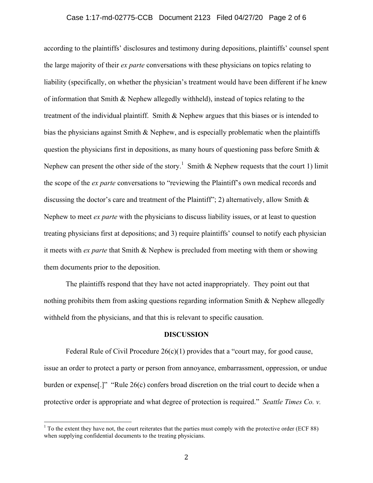### Case 1:17-md-02775-CCB Document 2123 Filed 04/27/20 Page 2 of 6

according to the plaintiffs' disclosures and testimony during depositions, plaintiffs' counsel spent the large majority of their *ex parte* conversations with these physicians on topics relating to liability (specifically, on whether the physician's treatment would have been different if he knew of information that Smith & Nephew allegedly withheld), instead of topics relating to the treatment of the individual plaintiff. Smith & Nephew argues that this biases or is intended to bias the physicians against Smith & Nephew, and is especially problematic when the plaintiffs question the physicians first in depositions, as many hours of questioning pass before Smith  $\&$ Nephew can present the other side of the story.<sup>1</sup> Smith & Nephew requests that the court 1) limit the scope of the *ex parte* conversations to "reviewing the Plaintiff's own medical records and discussing the doctor's care and treatment of the Plaintiff"; 2) alternatively, allow Smith & Nephew to meet *ex parte* with the physicians to discuss liability issues, or at least to question treating physicians first at depositions; and 3) require plaintiffs' counsel to notify each physician it meets with *ex parte* that Smith & Nephew is precluded from meeting with them or showing them documents prior to the deposition.

The plaintiffs respond that they have not acted inappropriately. They point out that nothing prohibits them from asking questions regarding information Smith & Nephew allegedly withheld from the physicians, and that this is relevant to specific causation.

#### **DISCUSSION**

Federal Rule of Civil Procedure  $26(c)(1)$  provides that a "court may, for good cause, issue an order to protect a party or person from annoyance, embarrassment, oppression, or undue burden or expense[.]" "Rule 26(c) confers broad discretion on the trial court to decide when a protective order is appropriate and what degree of protection is required." *Seattle Times Co. v.*

<sup>&</sup>lt;sup>1</sup> To the extent they have not, the court reiterates that the parties must comply with the protective order (ECF 88) when supplying confidential documents to the treating physicians.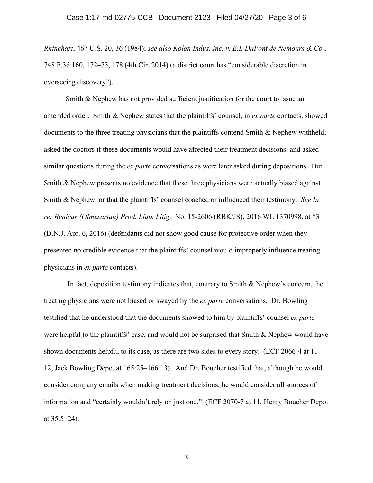*Rhinehart*, 467 U.S. 20, 36 (1984); *see also Kolon Indus. Inc. v. E.I. DuPont de Nemours & Co.*, 748 F.3d 160, 172–73, 178 (4th Cir. 2014) (a district court has "considerable discretion in overseeing discovery").

Smith & Nephew has not provided sufficient justification for the court to issue an amended order. Smith & Nephew states that the plaintiffs' counsel, in *ex parte* contacts, showed documents to the three treating physicians that the plaintiffs contend Smith & Nephew withheld; asked the doctors if these documents would have affected their treatment decisions; and asked similar questions during the *ex parte* conversations as were later asked during depositions. But Smith & Nephew presents no evidence that these three physicians were actually biased against Smith & Nephew, or that the plaintiffs' counsel coached or influenced their testimony. *See In re: Benicar (Olmesartan) Prod. Liab. Litig.,* No. 15-2606 (RBK/JS), 2016 WL 1370998, at \*3 (D.N.J. Apr. 6, 2016) (defendants did not show good cause for protective order when they presented no credible evidence that the plaintiffs' counsel would improperly influence treating physicians in *ex parte* contacts).

In fact, deposition testimony indicates that, contrary to Smith & Nephew's concern, the treating physicians were not biased or swayed by the *ex parte* conversations. Dr. Bowling testified that he understood that the documents showed to him by plaintiffs' counsel *ex parte*  were helpful to the plaintiffs' case, and would not be surprised that Smith & Nephew would have shown documents helpful to its case, as there are two sides to every story. (ECF 2066-4 at 11– 12, Jack Bowling Depo. at 165:25–166:13). And Dr. Boucher testified that, although he would consider company emails when making treatment decisions, he would consider all sources of information and "certainly wouldn't rely on just one." (ECF 2070-7 at 11, Henry Boucher Depo. at 35:5–24).

3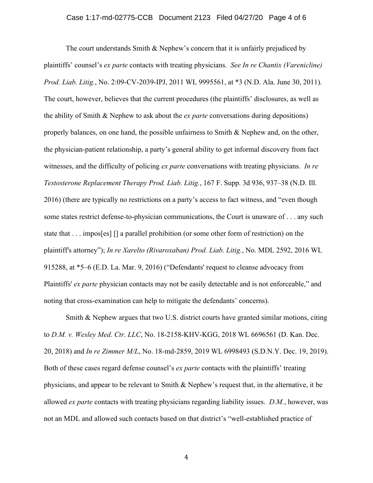### Case 1:17-md-02775-CCB Document 2123 Filed 04/27/20 Page 4 of 6

The court understands Smith & Nephew's concern that it is unfairly prejudiced by plaintiffs' counsel's *ex parte* contacts with treating physicians. *See In re Chantix (Varenicline) Prod. Liab. Litig.*, No. 2:09-CV-2039-IPJ, 2011 WL 9995561, at \*3 (N.D. Ala. June 30, 2011). The court, however, believes that the current procedures (the plaintiffs' disclosures, as well as the ability of Smith & Nephew to ask about the *ex parte* conversations during depositions) properly balances, on one hand, the possible unfairness to Smith  $\&$  Nephew and, on the other, the physician-patient relationship, a party's general ability to get informal discovery from fact witnesses, and the difficulty of policing *ex parte* conversations with treating physicians. *In re Testosterone Replacement Therapy Prod. Liab. Litig.*, 167 F. Supp. 3d 936, 937–38 (N.D. Ill. 2016) (there are typically no restrictions on a party's access to fact witness, and "even though some states restrict defense-to-physician communications, the Court is unaware of . . . any such state that . . . impos[es] [] a parallel prohibition (or some other form of restriction) on the plaintiff's attorney"); *In re Xarelto (Rivaroxaban) Prod. Liab. Litig.*, No. MDL 2592, 2016 WL 915288, at \*5–6 (E.D. La. Mar. 9, 2016) ("Defendants' request to cleanse advocacy from Plaintiffs' *ex parte* physician contacts may not be easily detectable and is not enforceable," and noting that cross-examination can help to mitigate the defendants' concerns).

Smith & Nephew argues that two U.S. district courts have granted similar motions, citing to *D.M. v. Wesley Med. Ctr. LLC*, No. 18-2158-KHV-KGG, 2018 WL 6696561 (D. Kan. Dec. 20, 2018) and *In re Zimmer M/L*, No. 18-md-2859, 2019 WL 6998493 (S.D.N.Y. Dec. 19, 2019). Both of these cases regard defense counsel's *ex parte* contacts with the plaintiffs' treating physicians, and appear to be relevant to Smith & Nephew's request that, in the alternative, it be allowed *ex parte* contacts with treating physicians regarding liability issues. *D.M.*, however, was not an MDL and allowed such contacts based on that district's "well-established practice of

4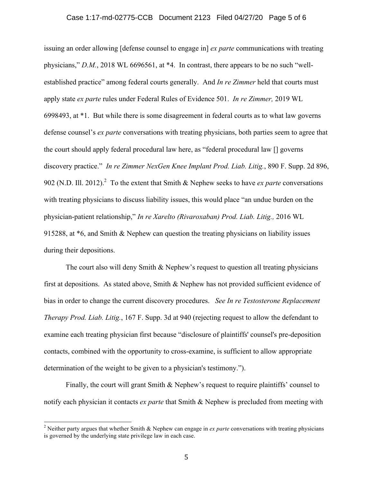### Case 1:17-md-02775-CCB Document 2123 Filed 04/27/20 Page 5 of 6

issuing an order allowing [defense counsel to engage in] *ex parte* communications with treating physicians," *D.M.*, 2018 WL 6696561, at \*4. In contrast, there appears to be no such "wellestablished practice" among federal courts generally. And *In re Zimmer* held that courts must apply state *ex parte* rules under Federal Rules of Evidence 501. *In re Zimmer,* 2019 WL 6998493, at \*1. But while there is some disagreement in federal courts as to what law governs defense counsel's *ex parte* conversations with treating physicians, both parties seem to agree that the court should apply federal procedural law here, as "federal procedural law [] governs discovery practice." *In re Zimmer NexGen Knee Implant Prod. Liab. Litig.*, 890 F. Supp. 2d 896, 902 (N.D. Ill. 2012).<sup>2</sup> To the extent that Smith & Nephew seeks to have *ex parte* conversations with treating physicians to discuss liability issues, this would place "an undue burden on the physician-patient relationship," *In re Xarelto (Rivaroxaban) Prod. Liab. Litig.,* 2016 WL 915288, at \*6, and Smith & Nephew can question the treating physicians on liability issues during their depositions.

The court also will deny Smith  $&$  Nephew's request to question all treating physicians first at depositions. As stated above, Smith & Nephew has not provided sufficient evidence of bias in order to change the current discovery procedures. *See In re Testosterone Replacement Therapy Prod. Liab. Litig.*, 167 F. Supp. 3d at 940 (rejecting request to allow the defendant to examine each treating physician first because "disclosure of plaintiffs' counsel's pre-deposition contacts, combined with the opportunity to cross-examine, is sufficient to allow appropriate determination of the weight to be given to a physician's testimony.").

Finally, the court will grant Smith & Nephew's request to require plaintiffs' counsel to notify each physician it contacts *ex parte* that Smith & Nephew is precluded from meeting with

 <sup>2</sup> Neither party argues that whether Smith & Nephew can engage in *ex parte* conversations with treating physicians is governed by the underlying state privilege law in each case.